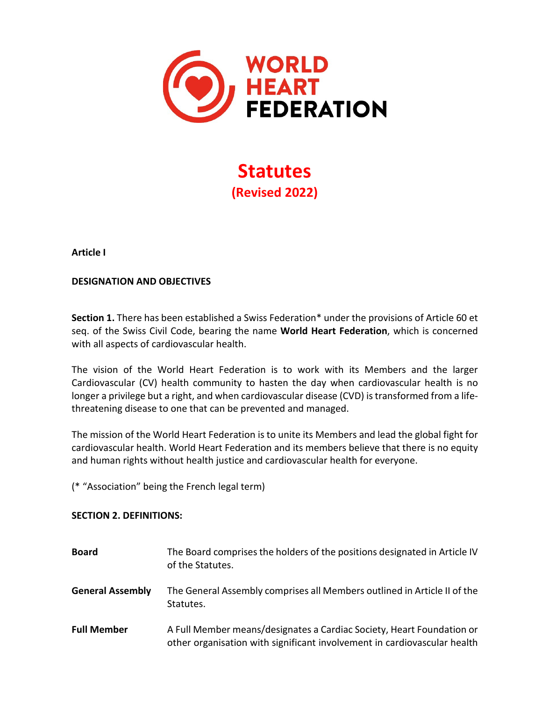

**Statutes (Revised 2022)** 

**Article I**

### **DESIGNATION AND OBJECTIVES**

**Section 1.** There has been established a Swiss Federation\* under the provisions of Article 60 et seq. of the Swiss Civil Code, bearing the name **World Heart Federation**, which is concerned with all aspects of cardiovascular health.

The vision of the World Heart Federation is to work with its Members and the larger Cardiovascular (CV) health community to hasten the day when cardiovascular health is no longer a privilege but a right, and when cardiovascular disease (CVD) is transformed from a lifethreatening disease to one that can be prevented and managed.

The mission of the World Heart Federation is to unite its Members and lead the global fight for cardiovascular health. World Heart Federation and its members believe that there is no equity and human rights without health justice and cardiovascular health for everyone.

(\* "Association" being the French legal term)

### **SECTION 2. DEFINITIONS:**

| <b>Board</b>            | The Board comprises the holders of the positions designated in Article IV<br>of the Statutes.                                                     |
|-------------------------|---------------------------------------------------------------------------------------------------------------------------------------------------|
| <b>General Assembly</b> | The General Assembly comprises all Members outlined in Article II of the<br>Statutes.                                                             |
| <b>Full Member</b>      | A Full Member means/designates a Cardiac Society, Heart Foundation or<br>other organisation with significant involvement in cardiovascular health |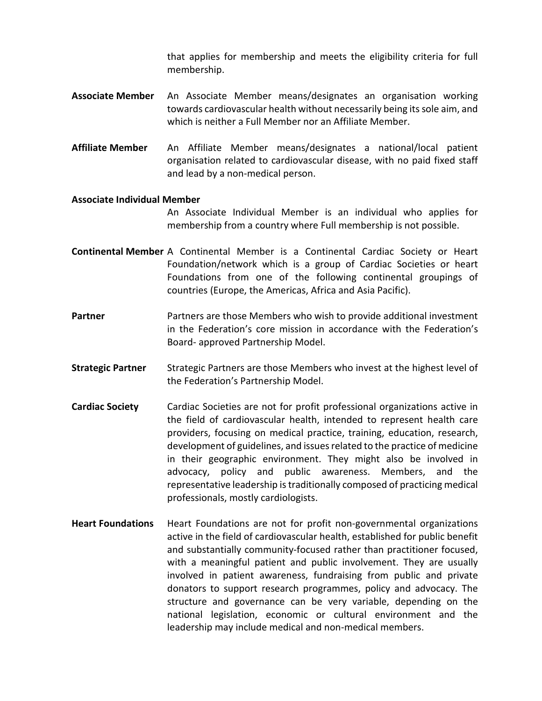that applies for membership and meets the eligibility criteria for full membership.

- **Associate Member** An Associate Member means/designates an organisation working towards cardiovascular health without necessarily being its sole aim, and which is neither a Full Member nor an Affiliate Member.
- **Affiliate Member** An Affiliate Member means/designates a national/local patient organisation related to cardiovascular disease, with no paid fixed staff and lead by a non-medical person.

#### **Associate Individual Member**

An Associate Individual Member is an individual who applies for membership from a country where Full membership is not possible.

- **Continental Member** A Continental Member is a Continental Cardiac Society or Heart Foundation/network which is a group of Cardiac Societies or heart Foundations from one of the following continental groupings of countries (Europe, the Americas, Africa and Asia Pacific).
- **Partner** Partners are those Members who wish to provide additional investment in the Federation's core mission in accordance with the Federation's Board- approved Partnership Model.
- **Strategic Partner** Strategic Partners are those Members who invest at the highest level of the Federation's Partnership Model.
- **Cardiac Society** Cardiac Societies are not for profit professional organizations active in the field of cardiovascular health, intended to represent health care providers, focusing on medical practice, training, education, research, development of guidelines, and issues related to the practice of medicine in their geographic environment. They might also be involved in advocacy, policy and public awareness. Members, and the representative leadership is traditionally composed of practicing medical professionals, mostly cardiologists.
- **Heart Foundations** Heart Foundations are not for profit non-governmental organizations active in the field of cardiovascular health, established for public benefit and substantially community-focused rather than practitioner focused, with a meaningful patient and public involvement. They are usually involved in patient awareness, fundraising from public and private donators to support research programmes, policy and advocacy. The structure and governance can be very variable, depending on the national legislation, economic or cultural environment and the leadership may include medical and non-medical members.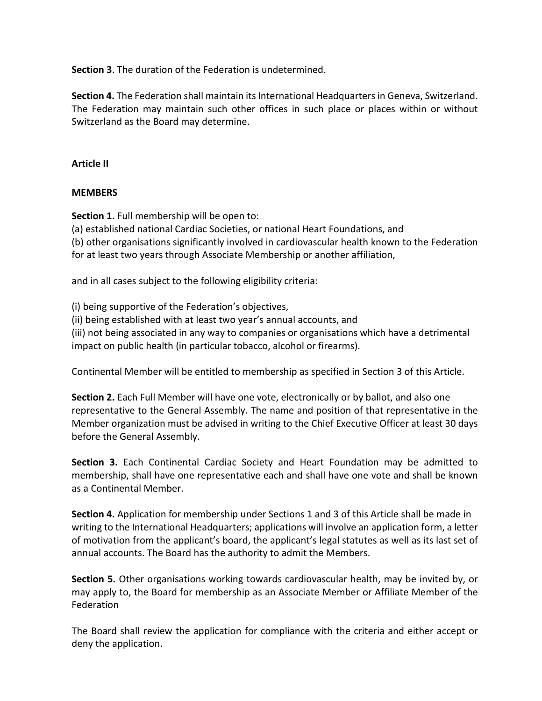**Section 3**. The duration of the Federation is undetermined.

**Section 4.** The Federation shall maintain its International Headquarters in Geneva, Switzerland. The Federation may maintain such other offices in such place or places within or without Switzerland as the Board may determine.

### **Article II**

### **MEMBERS**

**Section 1.** Full membership will be open to:

(a) established national Cardiac Societies, or national Heart Foundations, and

(b) other organisations significantly involved in cardiovascular health known to the Federation for at least two years through Associate Membership or another affiliation,

and in all cases subject to the following eligibility criteria:

(i) being supportive of the Federation's objectives,

(ii) being established with at least two year's annual accounts, and

(iii) not being associated in any way to companies or organisations which have a detrimental impact on public health (in particular tobacco, alcohol or firearms).

Continental Member will be entitled to membership as specified in Section 3 of this Article.

**Section 2.** Each Full Member will have one vote, electronically or by ballot, and also one representative to the General Assembly. The name and position of that representative in the Member organization must be advised in writing to the Chief Executive Officer at least 30 days before the General Assembly.

**Section 3.** Each Continental Cardiac Society and Heart Foundation may be admitted to membership, shall have one representative each and shall have one vote and shall be known as a Continental Member.

**Section 4.** Application for membership under Sections 1 and 3 of this Article shall be made in writing to the International Headquarters; applications will involve an application form, a letter of motivation from the applicant's board, the applicant's legal statutes as well as its last set of annual accounts. The Board has the authority to admit the Members.

**Section 5.** Other organisations working towards cardiovascular health, may be invited by, or may apply to, the Board for membership as an Associate Member or Affiliate Member of the Federation

The Board shall review the application for compliance with the criteria and either accept or deny the application.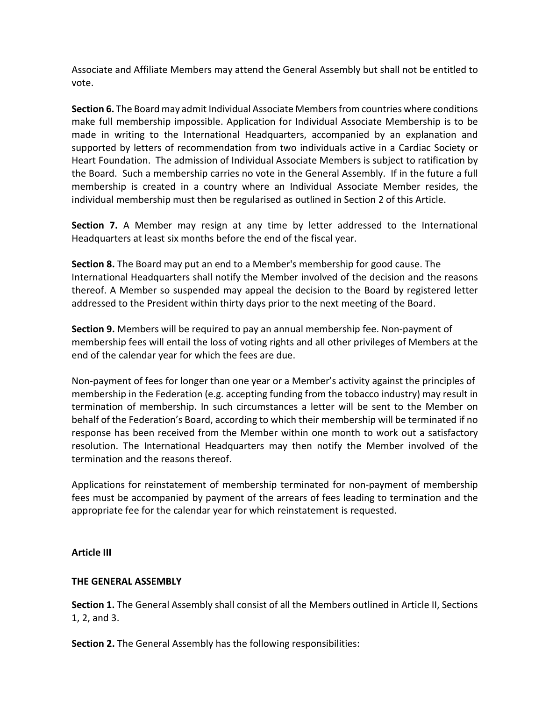Associate and Affiliate Members may attend the General Assembly but shall not be entitled to vote.

**Section 6.** The Board may admit Individual Associate Members from countries where conditions make full membership impossible. Application for Individual Associate Membership is to be made in writing to the International Headquarters, accompanied by an explanation and supported by letters of recommendation from two individuals active in a Cardiac Society or Heart Foundation. The admission of Individual Associate Members is subject to ratification by the Board. Such a membership carries no vote in the General Assembly. If in the future a full membership is created in a country where an Individual Associate Member resides, the individual membership must then be regularised as outlined in Section 2 of this Article.

**Section 7.** A Member may resign at any time by letter addressed to the International Headquarters at least six months before the end of the fiscal year.

**Section 8.** The Board may put an end to a Member's membership for good cause. The International Headquarters shall notify the Member involved of the decision and the reasons thereof. A Member so suspended may appeal the decision to the Board by registered letter addressed to the President within thirty days prior to the next meeting of the Board.

**Section 9.** Members will be required to pay an annual membership fee. Non-payment of membership fees will entail the loss of voting rights and all other privileges of Members at the end of the calendar year for which the fees are due.

Non-payment of fees for longer than one year or a Member's activity against the principles of membership in the Federation (e.g. accepting funding from the tobacco industry) may result in termination of membership. In such circumstances a letter will be sent to the Member on behalf of the Federation's Board, according to which their membership will be terminated if no response has been received from the Member within one month to work out a satisfactory resolution. The International Headquarters may then notify the Member involved of the termination and the reasons thereof.

Applications for reinstatement of membership terminated for non-payment of membership fees must be accompanied by payment of the arrears of fees leading to termination and the appropriate fee for the calendar year for which reinstatement is requested.

# **Article III**

# **THE GENERAL ASSEMBLY**

**Section 1.** The General Assembly shall consist of all the Members outlined in Article II, Sections 1, 2, and 3.

**Section 2.** The General Assembly has the following responsibilities: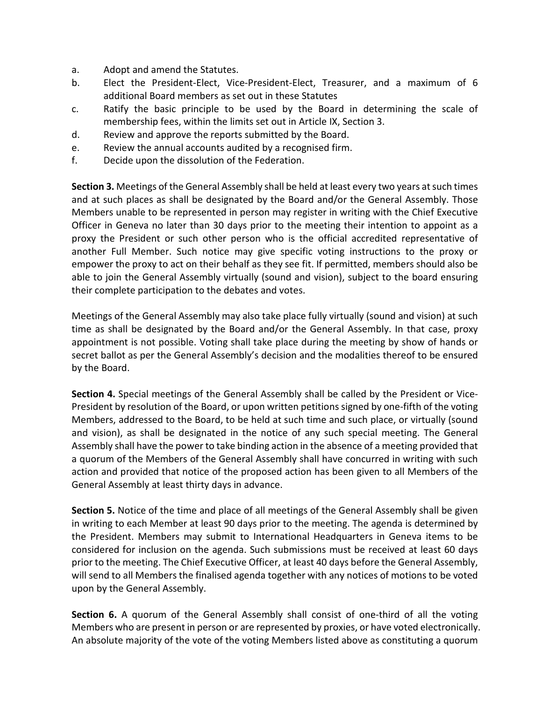- a. Adopt and amend the Statutes.
- b. Elect the President-Elect, Vice-President-Elect, Treasurer, and a maximum of 6 additional Board members as set out in these Statutes
- c. Ratify the basic principle to be used by the Board in determining the scale of membership fees, within the limits set out in Article IX, Section 3.
- d. Review and approve the reports submitted by the Board.
- e. Review the annual accounts audited by a recognised firm.
- f. Decide upon the dissolution of the Federation.

**Section 3.** Meetings of the General Assembly shall be held at least every two years at such times and at such places as shall be designated by the Board and/or the General Assembly. Those Members unable to be represented in person may register in writing with the Chief Executive Officer in Geneva no later than 30 days prior to the meeting their intention to appoint as a proxy the President or such other person who is the official accredited representative of another Full Member. Such notice may give specific voting instructions to the proxy or empower the proxy to act on their behalf as they see fit. If permitted, members should also be able to join the General Assembly virtually (sound and vision), subject to the board ensuring their complete participation to the debates and votes.

Meetings of the General Assembly may also take place fully virtually (sound and vision) at such time as shall be designated by the Board and/or the General Assembly. In that case, proxy appointment is not possible. Voting shall take place during the meeting by show of hands or secret ballot as per the General Assembly's decision and the modalities thereof to be ensured by the Board.

**Section 4.** Special meetings of the General Assembly shall be called by the President or Vice-President by resolution of the Board, or upon written petitions signed by one-fifth of the voting Members, addressed to the Board, to be held at such time and such place, or virtually (sound and vision), as shall be designated in the notice of any such special meeting. The General Assembly shall have the power to take binding action in the absence of a meeting provided that a quorum of the Members of the General Assembly shall have concurred in writing with such action and provided that notice of the proposed action has been given to all Members of the General Assembly at least thirty days in advance.

**Section 5.** Notice of the time and place of all meetings of the General Assembly shall be given in writing to each Member at least 90 days prior to the meeting. The agenda is determined by the President. Members may submit to International Headquarters in Geneva items to be considered for inclusion on the agenda. Such submissions must be received at least 60 days prior to the meeting. The Chief Executive Officer, at least 40 days before the General Assembly, will send to all Members the finalised agenda together with any notices of motions to be voted upon by the General Assembly.

**Section 6.** A quorum of the General Assembly shall consist of one-third of all the voting Members who are present in person or are represented by proxies, or have voted electronically. An absolute majority of the vote of the voting Members listed above as constituting a quorum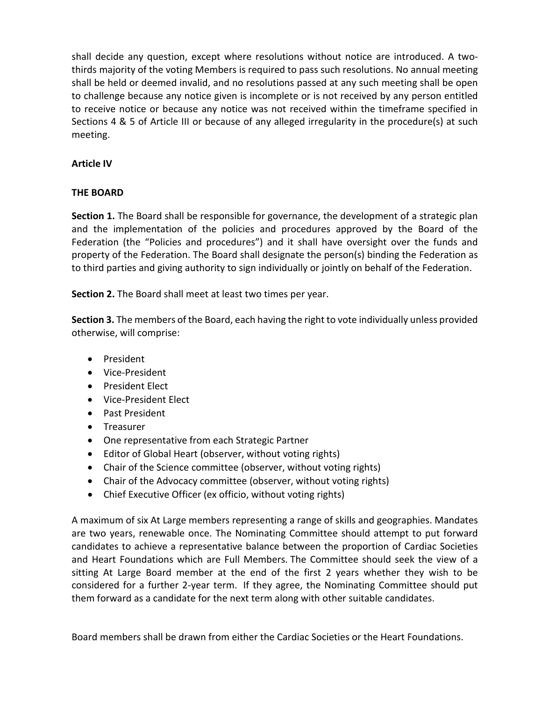shall decide any question, except where resolutions without notice are introduced. A twothirds majority of the voting Members is required to pass such resolutions. No annual meeting shall be held or deemed invalid, and no resolutions passed at any such meeting shall be open to challenge because any notice given is incomplete or is not received by any person entitled to receive notice or because any notice was not received within the timeframe specified in Sections 4 & 5 of Article III or because of any alleged irregularity in the procedure(s) at such meeting.

### **Article IV**

### **THE BOARD**

**Section 1.** The Board shall be responsible for governance, the development of a strategic plan and the implementation of the policies and procedures approved by the Board of the Federation (the "Policies and procedures") and it shall have oversight over the funds and property of the Federation. The Board shall designate the person(s) binding the Federation as to third parties and giving authority to sign individually or jointly on behalf of the Federation.

**Section 2.** The Board shall meet at least two times per year.

**Section 3.** The members of the Board, each having the right to vote individually unless provided otherwise, will comprise:

- President
- Vice-President
- President Elect
- Vice-President Elect
- Past President
- Treasurer
- One representative from each Strategic Partner
- Editor of Global Heart (observer, without voting rights)
- Chair of the Science committee (observer, without voting rights)
- Chair of the Advocacy committee (observer, without voting rights)
- Chief Executive Officer (ex officio, without voting rights)

A maximum of six At Large members representing a range of skills and geographies. Mandates are two years, renewable once. The Nominating Committee should attempt to put forward candidates to achieve a representative balance between the proportion of Cardiac Societies and Heart Foundations which are Full Members. The Committee should seek the view of a sitting At Large Board member at the end of the first 2 years whether they wish to be considered for a further 2-year term. If they agree, the Nominating Committee should put them forward as a candidate for the next term along with other suitable candidates.

Board members shall be drawn from either the Cardiac Societies or the Heart Foundations.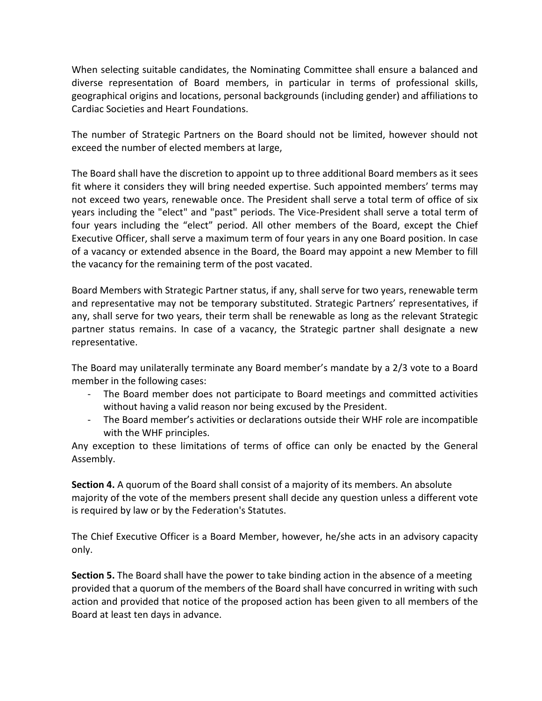When selecting suitable candidates, the Nominating Committee shall ensure a balanced and diverse representation of Board members, in particular in terms of professional skills, geographical origins and locations, personal backgrounds (including gender) and affiliations to Cardiac Societies and Heart Foundations.

The number of Strategic Partners on the Board should not be limited, however should not exceed the number of elected members at large,

The Board shall have the discretion to appoint up to three additional Board members as it sees fit where it considers they will bring needed expertise. Such appointed members' terms may not exceed two years, renewable once. The President shall serve a total term of office of six years including the "elect" and "past" periods. The Vice-President shall serve a total term of four years including the "elect" period. All other members of the Board, except the Chief Executive Officer, shall serve a maximum term of four years in any one Board position. In case of a vacancy or extended absence in the Board, the Board may appoint a new Member to fill the vacancy for the remaining term of the post vacated.

Board Members with Strategic Partner status, if any, shall serve for two years, renewable term and representative may not be temporary substituted. Strategic Partners' representatives, if any, shall serve for two years, their term shall be renewable as long as the relevant Strategic partner status remains. In case of a vacancy, the Strategic partner shall designate a new representative.

The Board may unilaterally terminate any Board member's mandate by a 2/3 vote to a Board member in the following cases:

- The Board member does not participate to Board meetings and committed activities without having a valid reason nor being excused by the President.
- The Board member's activities or declarations outside their WHF role are incompatible with the WHF principles.

Any exception to these limitations of terms of office can only be enacted by the General Assembly.

**Section 4.** A quorum of the Board shall consist of a majority of its members. An absolute majority of the vote of the members present shall decide any question unless a different vote is required by law or by the Federation's Statutes.

The Chief Executive Officer is a Board Member, however, he/she acts in an advisory capacity only.

**Section 5.** The Board shall have the power to take binding action in the absence of a meeting provided that a quorum of the members of the Board shall have concurred in writing with such action and provided that notice of the proposed action has been given to all members of the Board at least ten days in advance.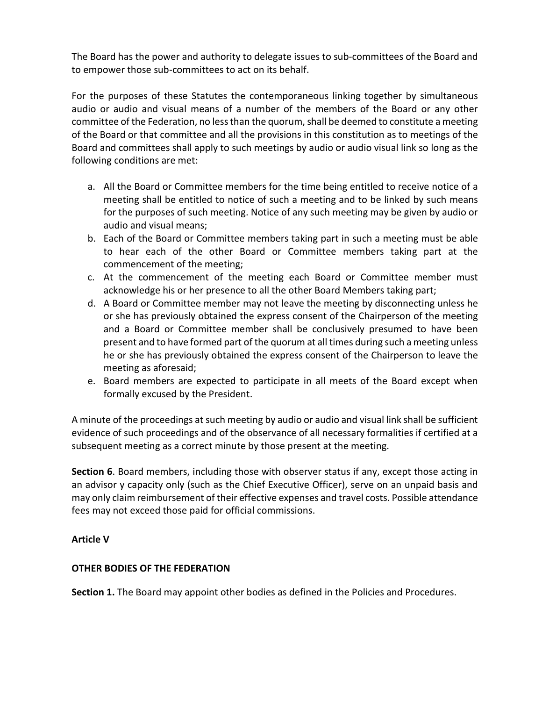The Board has the power and authority to delegate issues to sub-committees of the Board and to empower those sub-committees to act on its behalf.

For the purposes of these Statutes the contemporaneous linking together by simultaneous audio or audio and visual means of a number of the members of the Board or any other committee of the Federation, no less than the quorum, shall be deemed to constitute a meeting of the Board or that committee and all the provisions in this constitution as to meetings of the Board and committees shall apply to such meetings by audio or audio visual link so long as the following conditions are met:

- a. All the Board or Committee members for the time being entitled to receive notice of a meeting shall be entitled to notice of such a meeting and to be linked by such means for the purposes of such meeting. Notice of any such meeting may be given by audio or audio and visual means;
- b. Each of the Board or Committee members taking part in such a meeting must be able to hear each of the other Board or Committee members taking part at the commencement of the meeting;
- c. At the commencement of the meeting each Board or Committee member must acknowledge his or her presence to all the other Board Members taking part;
- d. A Board or Committee member may not leave the meeting by disconnecting unless he or she has previously obtained the express consent of the Chairperson of the meeting and a Board or Committee member shall be conclusively presumed to have been present and to have formed part of the quorum at all times during such a meeting unless he or she has previously obtained the express consent of the Chairperson to leave the meeting as aforesaid;
- e. Board members are expected to participate in all meets of the Board except when formally excused by the President.

A minute of the proceedings at such meeting by audio or audio and visual link shall be sufficient evidence of such proceedings and of the observance of all necessary formalities if certified at a subsequent meeting as a correct minute by those present at the meeting.

**Section 6**. Board members, including those with observer status if any, except those acting in an advisor y capacity only (such as the Chief Executive Officer), serve on an unpaid basis and may only claim reimbursement of their effective expenses and travel costs. Possible attendance fees may not exceed those paid for official commissions.

# **Article V**

### **OTHER BODIES OF THE FEDERATION**

**Section 1.** The Board may appoint other bodies as defined in the Policies and Procedures.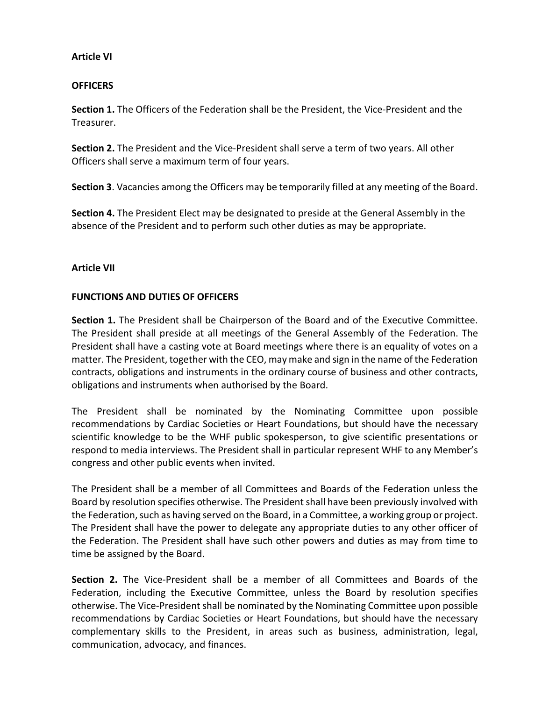#### **Article VI**

### **OFFICERS**

**Section 1.** The Officers of the Federation shall be the President, the Vice-President and the Treasurer.

**Section 2.** The President and the Vice-President shall serve a term of two years. All other Officers shall serve a maximum term of four years.

**Section 3**. Vacancies among the Officers may be temporarily filled at any meeting of the Board.

**Section 4.** The President Elect may be designated to preside at the General Assembly in the absence of the President and to perform such other duties as may be appropriate.

### **Article VII**

### **FUNCTIONS AND DUTIES OF OFFICERS**

**Section 1.** The President shall be Chairperson of the Board and of the Executive Committee. The President shall preside at all meetings of the General Assembly of the Federation. The President shall have a casting vote at Board meetings where there is an equality of votes on a matter. The President, together with the CEO, may make and sign in the name of the Federation contracts, obligations and instruments in the ordinary course of business and other contracts, obligations and instruments when authorised by the Board.

The President shall be nominated by the Nominating Committee upon possible recommendations by Cardiac Societies or Heart Foundations, but should have the necessary scientific knowledge to be the WHF public spokesperson, to give scientific presentations or respond to media interviews. The President shall in particular represent WHF to any Member's congress and other public events when invited.

The President shall be a member of all Committees and Boards of the Federation unless the Board by resolution specifies otherwise. The President shall have been previously involved with the Federation, such as having served on the Board, in a Committee, a working group or project. The President shall have the power to delegate any appropriate duties to any other officer of the Federation. The President shall have such other powers and duties as may from time to time be assigned by the Board.

**Section 2.** The Vice-President shall be a member of all Committees and Boards of the Federation, including the Executive Committee, unless the Board by resolution specifies otherwise. The Vice-President shall be nominated by the Nominating Committee upon possible recommendations by Cardiac Societies or Heart Foundations, but should have the necessary complementary skills to the President, in areas such as business, administration, legal, communication, advocacy, and finances.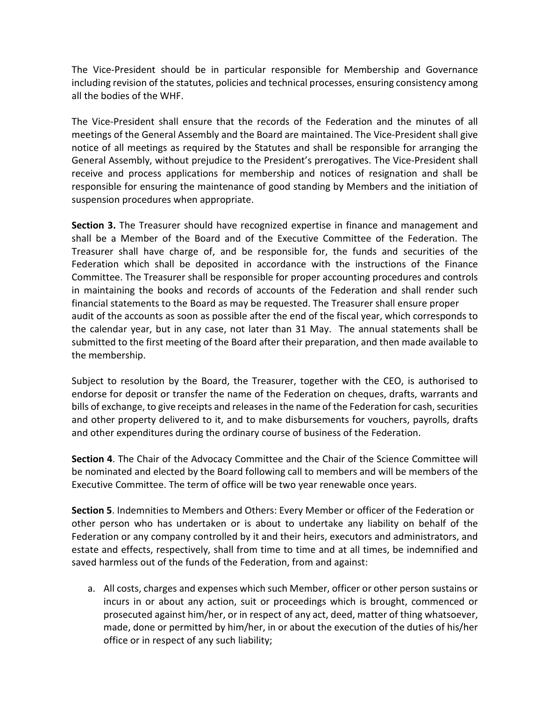The Vice-President should be in particular responsible for Membership and Governance including revision of the statutes, policies and technical processes, ensuring consistency among all the bodies of the WHF.

The Vice-President shall ensure that the records of the Federation and the minutes of all meetings of the General Assembly and the Board are maintained. The Vice-President shall give notice of all meetings as required by the Statutes and shall be responsible for arranging the General Assembly, without prejudice to the President's prerogatives. The Vice-President shall receive and process applications for membership and notices of resignation and shall be responsible for ensuring the maintenance of good standing by Members and the initiation of suspension procedures when appropriate.

**Section 3.** The Treasurer should have recognized expertise in finance and management and shall be a Member of the Board and of the Executive Committee of the Federation. The Treasurer shall have charge of, and be responsible for, the funds and securities of the Federation which shall be deposited in accordance with the instructions of the Finance Committee. The Treasurer shall be responsible for proper accounting procedures and controls in maintaining the books and records of accounts of the Federation and shall render such financial statements to the Board as may be requested. The Treasurer shall ensure proper audit of the accounts as soon as possible after the end of the fiscal year, which corresponds to the calendar year, but in any case, not later than 31 May. The annual statements shall be submitted to the first meeting of the Board after their preparation, and then made available to the membership.

Subject to resolution by the Board, the Treasurer, together with the CEO, is authorised to endorse for deposit or transfer the name of the Federation on cheques, drafts, warrants and bills of exchange, to give receipts and releases in the name of the Federation for cash, securities and other property delivered to it, and to make disbursements for vouchers, payrolls, drafts and other expenditures during the ordinary course of business of the Federation.

**Section 4**. The Chair of the Advocacy Committee and the Chair of the Science Committee will be nominated and elected by the Board following call to members and will be members of the Executive Committee. The term of office will be two year renewable once years.

**Section 5**. Indemnities to Members and Others: Every Member or officer of the Federation or other person who has undertaken or is about to undertake any liability on behalf of the Federation or any company controlled by it and their heirs, executors and administrators, and estate and effects, respectively, shall from time to time and at all times, be indemnified and saved harmless out of the funds of the Federation, from and against:

a. All costs, charges and expenses which such Member, officer or other person sustains or incurs in or about any action, suit or proceedings which is brought, commenced or prosecuted against him/her, or in respect of any act, deed, matter of thing whatsoever, made, done or permitted by him/her, in or about the execution of the duties of his/her office or in respect of any such liability;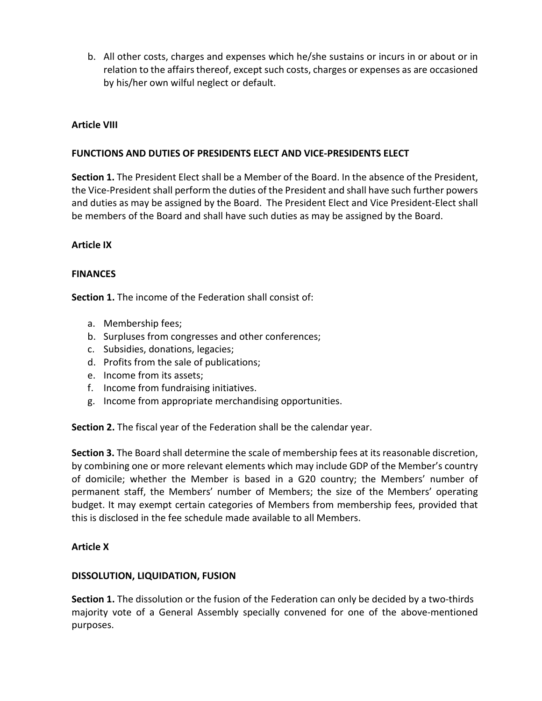b. All other costs, charges and expenses which he/she sustains or incurs in or about or in relation to the affairs thereof, except such costs, charges or expenses as are occasioned by his/her own wilful neglect or default.

### **Article VIII**

### **FUNCTIONS AND DUTIES OF PRESIDENTS ELECT AND VICE-PRESIDENTS ELECT**

**Section 1.** The President Elect shall be a Member of the Board. In the absence of the President, the Vice-President shall perform the duties of the President and shall have such further powers and duties as may be assigned by the Board. The President Elect and Vice President-Elect shall be members of the Board and shall have such duties as may be assigned by the Board.

### **Article IX**

### **FINANCES**

**Section 1.** The income of the Federation shall consist of:

- a. Membership fees;
- b. Surpluses from congresses and other conferences;
- c. Subsidies, donations, legacies;
- d. Profits from the sale of publications;
- e. Income from its assets;
- f. Income from fundraising initiatives.
- g. Income from appropriate merchandising opportunities.

**Section 2.** The fiscal year of the Federation shall be the calendar year.

**Section 3.** The Board shall determine the scale of membership fees at its reasonable discretion, by combining one or more relevant elements which may include GDP of the Member's country of domicile; whether the Member is based in a G20 country; the Members' number of permanent staff, the Members' number of Members; the size of the Members' operating budget. It may exempt certain categories of Members from membership fees, provided that this is disclosed in the fee schedule made available to all Members.

### **Article X**

### **DISSOLUTION, LIQUIDATION, FUSION**

**Section 1.** The dissolution or the fusion of the Federation can only be decided by a two-thirds majority vote of a General Assembly specially convened for one of the above-mentioned purposes.